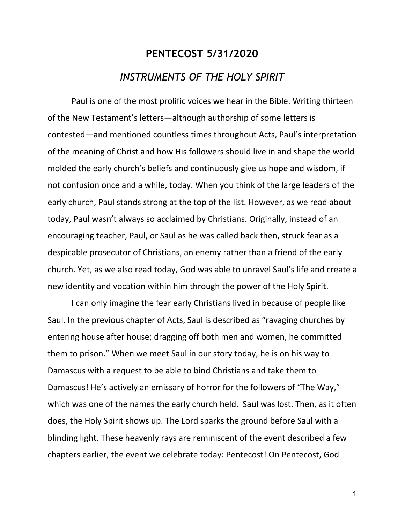## **PENTECOST 5/31/2020** *INSTRUMENTS OF THE HOLY SPIRIT*

Paul is one of the most prolific voices we hear in the Bible. Writing thirteen of the New Testament's letters—although authorship of some letters is contested—and mentioned countless times throughout Acts, Paul's interpretation of the meaning of Christ and how His followers should live in and shape the world molded the early church's beliefs and continuously give us hope and wisdom, if not confusion once and a while, today. When you think of the large leaders of the early church, Paul stands strong at the top of the list. However, as we read about today, Paul wasn't always so acclaimed by Christians. Originally, instead of an encouraging teacher, Paul, or Saul as he was called back then, struck fear as a despicable prosecutor of Christians, an enemy rather than a friend of the early church. Yet, as we also read today, God was able to unravel Saul's life and create a new identity and vocation within him through the power of the Holy Spirit.

I can only imagine the fear early Christians lived in because of people like Saul. In the previous chapter of Acts, Saul is described as "ravaging churches by entering house after house; dragging off both men and women, he committed them to prison." When we meet Saul in our story today, he is on his way to Damascus with a request to be able to bind Christians and take them to Damascus! He's actively an emissary of horror for the followers of "The Way," which was one of the names the early church held. Saul was lost. Then, as it often does, the Holy Spirit shows up. The Lord sparks the ground before Saul with a blinding light. These heavenly rays are reminiscent of the event described a few chapters earlier, the event we celebrate today: Pentecost! On Pentecost, God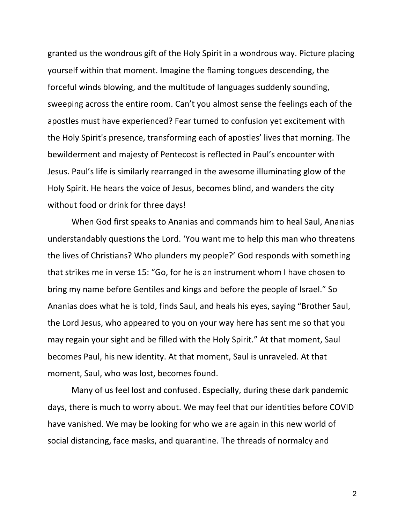granted us the wondrous gift of the Holy Spirit in a wondrous way. Picture placing yourself within that moment. Imagine the flaming tongues descending, the forceful winds blowing, and the multitude of languages suddenly sounding, sweeping across the entire room. Can't you almost sense the feelings each of the apostles must have experienced? Fear turned to confusion yet excitement with the Holy Spirit's presence, transforming each of apostles' lives that morning. The bewilderment and majesty of Pentecost is reflected in Paul's encounter with Jesus. Paul's life is similarly rearranged in the awesome illuminating glow of the Holy Spirit. He hears the voice of Jesus, becomes blind, and wanders the city without food or drink for three days!

When God first speaks to Ananias and commands him to heal Saul, Ananias understandably questions the Lord. 'You want me to help this man who threatens the lives of Christians? Who plunders my people?' God responds with something that strikes me in verse 15: "Go, for he is an instrument whom I have chosen to bring my name before Gentiles and kings and before the people of Israel." So Ananias does what he is told, finds Saul, and heals his eyes, saying "Brother Saul, the Lord Jesus, who appeared to you on your way here has sent me so that you may regain your sight and be filled with the Holy Spirit." At that moment, Saul becomes Paul, his new identity. At that moment, Saul is unraveled. At that moment, Saul, who was lost, becomes found.

Many of us feel lost and confused. Especially, during these dark pandemic days, there is much to worry about. We may feel that our identities before COVID have vanished. We may be looking for who we are again in this new world of social distancing, face masks, and quarantine. The threads of normalcy and

2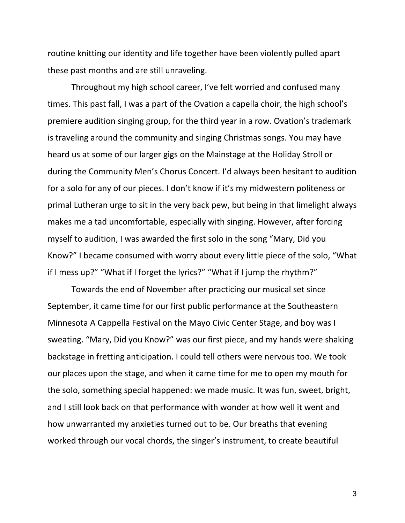routine knitting our identity and life together have been violently pulled apart these past months and are still unraveling.

Throughout my high school career, I've felt worried and confused many times. This past fall, I was a part of the Ovation a capella choir, the high school's premiere audition singing group, for the third year in a row. Ovation's trademark is traveling around the community and singing Christmas songs. You may have heard us at some of our larger gigs on the Mainstage at the Holiday Stroll or during the Community Men's Chorus Concert. I'd always been hesitant to audition for a solo for any of our pieces. I don't know if it's my midwestern politeness or primal Lutheran urge to sit in the very back pew, but being in that limelight always makes me a tad uncomfortable, especially with singing. However, after forcing myself to audition, I was awarded the first solo in the song "Mary, Did you Know?" I became consumed with worry about every little piece of the solo, "What if I mess up?" "What if I forget the lyrics?" "What if I jump the rhythm?"

Towards the end of November after practicing our musical set since September, it came time for our first public performance at the Southeastern Minnesota A Cappella Festival on the Mayo Civic Center Stage, and boy was I sweating. "Mary, Did you Know?" was our first piece, and my hands were shaking backstage in fretting anticipation. I could tell others were nervous too. We took our places upon the stage, and when it came time for me to open my mouth for the solo, something special happened: we made music. It was fun, sweet, bright, and I still look back on that performance with wonder at how well it went and how unwarranted my anxieties turned out to be. Our breaths that evening worked through our vocal chords, the singer's instrument, to create beautiful

3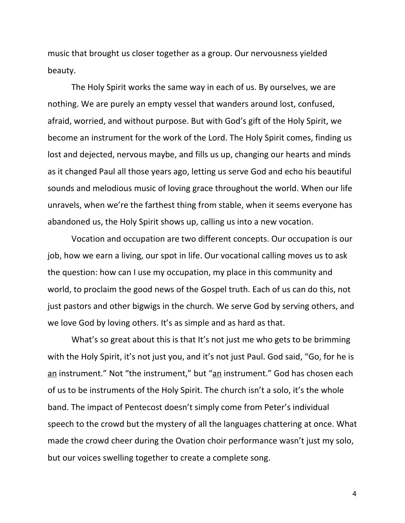music that brought us closer together as a group. Our nervousness yielded beauty.

The Holy Spirit works the same way in each of us. By ourselves, we are nothing. We are purely an empty vessel that wanders around lost, confused, afraid, worried, and without purpose. But with God's gift of the Holy Spirit, we become an instrument for the work of the Lord. The Holy Spirit comes, finding us lost and dejected, nervous maybe, and fills us up, changing our hearts and minds as it changed Paul all those years ago, letting us serve God and echo his beautiful sounds and melodious music of loving grace throughout the world. When our life unravels, when we're the farthest thing from stable, when it seems everyone has abandoned us, the Holy Spirit shows up, calling us into a new vocation.

Vocation and occupation are two different concepts. Our occupation is our job, how we earn a living, our spot in life. Our vocational calling moves us to ask the question: how can I use my occupation, my place in this community and world, to proclaim the good news of the Gospel truth. Each of us can do this, not just pastors and other bigwigs in the church. We serve God by serving others, and we love God by loving others. It's as simple and as hard as that.

What's so great about this is that It's not just me who gets to be brimming with the Holy Spirit, it's not just you, and it's not just Paul. God said, "Go, for he is an instrument." Not "the instrument," but "an instrument." God has chosen each of us to be instruments of the Holy Spirit. The church isn't a solo, it's the whole band. The impact of Pentecost doesn't simply come from Peter's individual speech to the crowd but the mystery of all the languages chattering at once. What made the crowd cheer during the Ovation choir performance wasn't just my solo, but our voices swelling together to create a complete song.